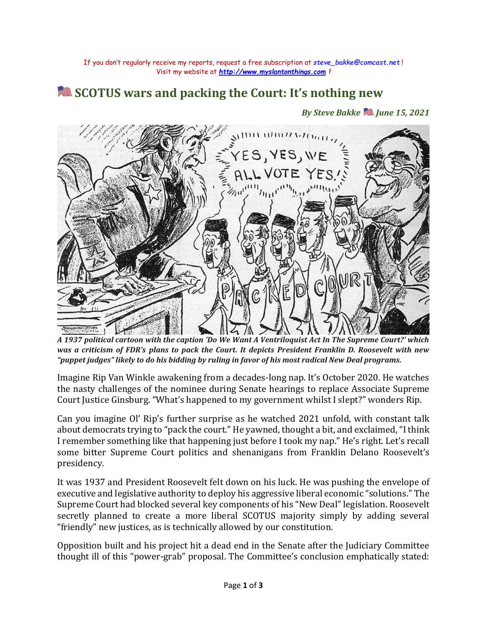## **SCOTUS wars and packing the Court: It's nothing new**

*By Steve Bakke June 15, 2021*



*A 1937 political cartoon with the caption 'Do We Want A Ventriloquist Act In The Supreme Court?' which was a criticism of FDR's plans to pack the Court. It depicts President Franklin D. Roosevelt with new "puppet judges" likely to do his bidding by ruling in favor of his most radical New Deal programs.*

Imagine Rip Van Winkle awakening from a decades-long nap. It's October 2020. He watches the nasty challenges of the nominee during Senate hearings to replace Associate Supreme Court Justice Ginsburg. "What's happened to my government whilst I slept?" wonders Rip.

Can you imagine Ol' Rip's further surprise as he watched 2021 unfold, with constant talk about democrats trying to "pack the court." He yawned, thought a bit, and exclaimed, "I think I remember something like that happening just before I took my nap." He's right. Let's recall some bitter Supreme Court politics and shenanigans from Franklin Delano Roosevelt's presidency.

It was 1937 and President Roosevelt felt down on his luck. He was pushing the envelope of executive and legislative authority to deploy his aggressive liberal economic "solutions." The Supreme Court had blocked several key components of his "New Deal" legislation. Roosevelt secretly planned to create a more liberal SCOTUS majority simply by adding several "friendly" new justices, as is technically allowed by our constitution.

Opposition built and his project hit a dead end in the Senate after the Judiciary Committee thought ill of this "power-grab" proposal. The Committee's conclusion emphatically stated: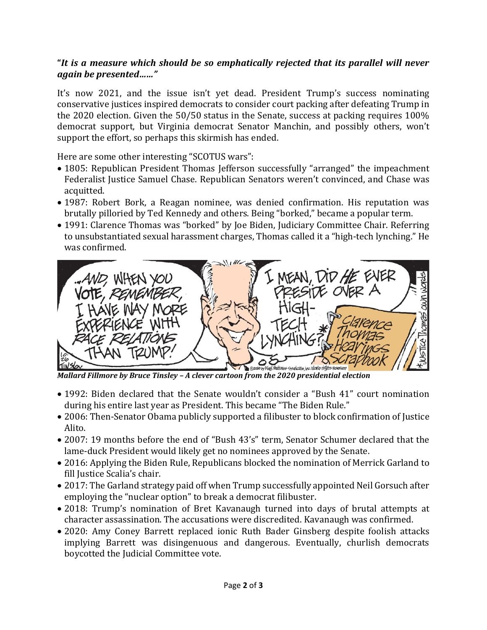## **"***It is a measure which should be so emphatically rejected that its parallel will never again be presented……"*

It's now 2021, and the issue isn't yet dead. President Trump's success nominating conservative justices inspired democrats to consider court packing after defeating Trump in the 2020 election. Given the 50/50 status in the Senate, success at packing requires 100% democrat support, but Virginia democrat Senator Manchin, and possibly others, won't support the effort, so perhaps this skirmish has ended.

Here are some other interesting "SCOTUS wars":

- 1805: Republican President Thomas Jefferson successfully "arranged" the impeachment Federalist Justice Samuel Chase. Republican Senators weren't convinced, and Chase was acquitted.
- 1987: Robert Bork, a Reagan nominee, was denied confirmation. His reputation was brutally pilloried by Ted Kennedy and others. Being "borked," became a popular term.
- 1991: Clarence Thomas was "borked" by Joe Biden, Judiciary Committee Chair. Referring to unsubstantiated sexual harassment charges, Thomas called it a "high-tech lynching." He was confirmed.



*Mallard Fillmore by Bruce Tinsley – A clever cartoon from the 2020 presidential election*

- 1992: Biden declared that the Senate wouldn't consider a "Bush 41" court nomination during his entire last year as President. This became "The Biden Rule."
- 2006: Then-Senator Obama publicly supported a filibuster to block confirmation of Justice Alito.
- 2007: 19 months before the end of "Bush 43's" term, Senator Schumer declared that the lame-duck President would likely get no nominees approved by the Senate.
- 2016: Applying the Biden Rule, Republicans blocked the nomination of Merrick Garland to fill Justice Scalia's chair.
- 2017: The Garland strategy paid off when Trump successfully appointed Neil Gorsuch after employing the "nuclear option" to break a democrat filibuster.
- 2018: Trump's nomination of Bret Kavanaugh turned into days of brutal attempts at character assassination. The accusations were discredited. Kavanaugh was confirmed.
- 2020: Amy Coney Barrett replaced ionic Ruth Bader Ginsberg despite foolish attacks implying Barrett was disingenuous and dangerous. Eventually, churlish democrats boycotted the Judicial Committee vote.